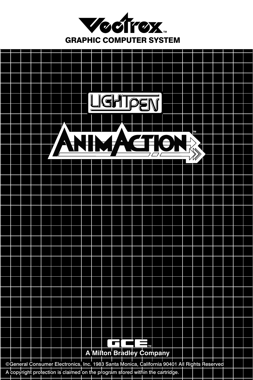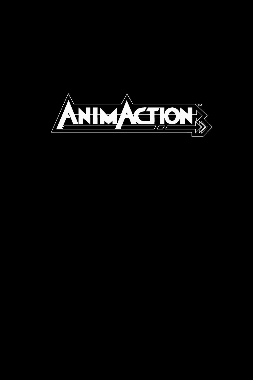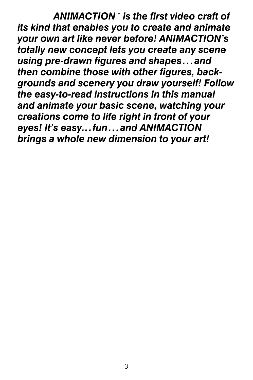ANIMACTION<sup>™</sup> is the first video craft of *its kind that enables you to create and animate your own art like never before! ANIMACTION's totally new concept lets you create any scene using pre-drawn figures and shapes...and then combine those with other figures, backgrounds and scenery you draw yourself! Follow the easy-to-read instructions in this manual and animate your basic scene, watching your creations come to life right in front of your eyes! It's easy...fun...and ANIMACTION brings a whole new dimension to your art!*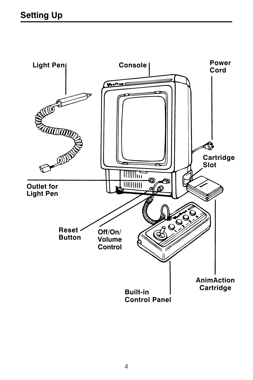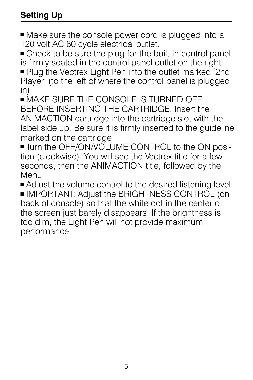# **Setting Up**

■ Make sure the console power cord is plugged into a 120 volt AC 60 cycle electrical outlet.

• Check to be sure the plug for the built-in control panel is firmly seated in the control panel outlet on the right. ■ Plug the Vectrex Light Pen into the outlet marked, 2nd

Player' (to the left of where the control panel is plugged in).

 $\bullet$  MAKE SURE THE CONSOLE IS TURNED OFF BEFORE INSERTING THE CARTRIDGE. Insert the ANIMACTION cartridge into the cartridge slot with the label side up. Be sure it is firmly inserted to the guideline marked on the cartridge.

■ Turn the OFF/ON/VOLUME CONTROL to the ON position (clockwise). You will see the Vectrex title for a few seconds, then the ANIMACTION title, followed by the Menu.

■ Adjust the volume control to the desired listening level.

<sup>+</sup> IMPORTANT: Adjust the BRIGHTNESS CONTROL (on back of console) so that the white dot in the center of the screen just barely disappears. If the brightness is too dim, the Light Pen will not provide maximum performance.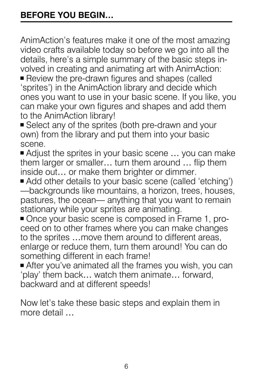AnimAction's features make it one of the most amazing video crafts available today so before we go into all the details, here's a simple summary of the basic steps involved in creating and animating art with AnimAction:

■ Review the pre-drawn figures and shapes (called 'sprites') in the AnimAction library and decide which ones you want to use in your basic scene. If you like, you can make your own figures and shapes and add them to the AnimAction library!

■ Select any of the sprites (both pre-drawn and your own) from the library and put them into your basic scene.

■ Adjust the sprites in your basic scene ... you can make them larger or smaller… turn them around … flip them inside out… or make them brighter or dimmer.

- Add other details to your basic scene (called 'etching') —backgrounds like mountains, a horizon, trees, houses, pastures, the ocean— anything that you want to remain stationary while your sprites are animating.
- Once your basic scene is composed in Frame 1, proceed on to other frames where you can make changes to the sprites …move them around to different areas, enlarge or reduce them, turn them around! You can do something different in each frame!

■ After you've animated all the frames you wish, you can 'play' them back… watch them animate… forward, backward and at different speeds!

Now let's take these basic steps and explain them in more detail …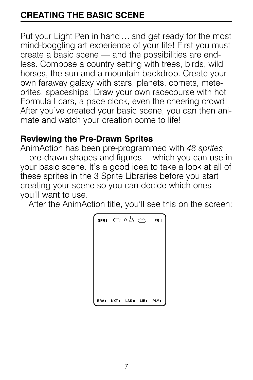# **CREATING THE BASIC SCENE**

Put your Light Pen in hand… and get ready for the most mind-boggling art experience of your life! First you must create a basic scene — and the possibilities are endless. Compose a country setting with trees, birds, wild horses, the sun and a mountain backdrop. Create your own faraway galaxy with stars, planets, comets, meteorites, spaceships! Draw your own racecourse with hot Formula I cars, a pace clock, even the cheering crowd! After you've created your basic scene, you can then animate and watch your creation come to life!

#### **Reviewing the Pre-Drawn Sprites**

AnimAction has been pre-programmed with *48 sprites* —pre-drawn shapes and figures— which you can use in your basic scene. It's a good idea to take a look at all of these sprites in the 3 Sprite Libraries before you start creating your scene so you can decide which ones you'll want to use.

After the AnimAction title, you'll see this on the screen:

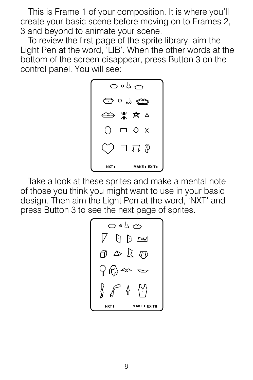This is Frame 1 of your composition. It is where you'll create your basic scene before moving on to Frames 2, 3 and beyond to animate your scene.

To review the first page of the sprite library, aim the Light Pen at the word, 'LIB'. When the other words at the bottom of the screen disappear, press Button 3 on the control panel. You will see:



Take a look at these sprites and make a mental note of those you think you might want to use in your basic design. Then aim the Light Pen at the word, 'NXT' and press Button 3 to see the next page of sprites.

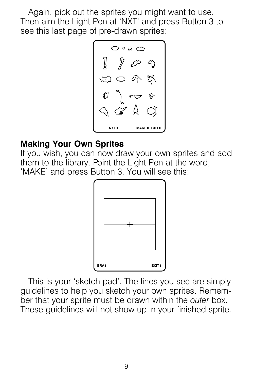Again, pick out the sprites you might want to use. Then aim the Light Pen at 'NXT' and press Button 3 to see this last page of pre-drawn sprites:



#### **Making Your Own Sprites**

If you wish, you can now draw your own sprites and add them to the library. Point the Light Pen at the word, 'MAKE' and press Button 3. You will see this:



This is your 'sketch pad'. The lines you see are simply guidelines to help you sketch your own sprites. Remember that your sprite must be drawn within the *outer* box. These guidelines will not show up in your finished sprite.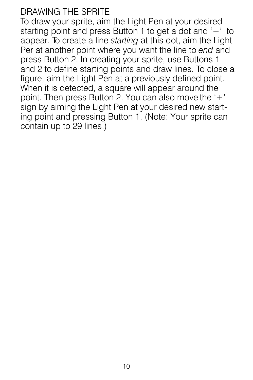## DRAWING THE SPRITE

To draw your sprite, aim the Light Pen at your desired starting point and press Button 1 to get a dot and '+' to appear. To create a line *starting* at this dot, aim the Light Per at another point where you want the line to *end* and press Button 2. In creating your sprite, use Buttons 1 and 2 to define starting points and draw lines. To close a figure, aim the Light Pen at a previously defined point. When it is detected, a square will appear around the point. Then press Button 2. You can also move the '+' sign by aiming the Light Pen at your desired new starting point and pressing Button 1. (Note: Your sprite can contain up to 29 lines.)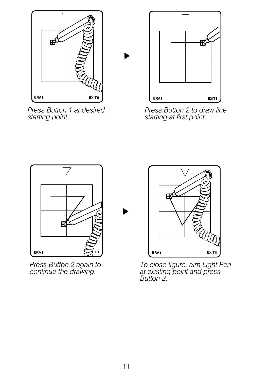

*Press Button 1 at desired starting point.*



*Press Button 2 to draw line starting at first point.*



*Press Button 2 again to continue the drawing.*



*To close figure, aim Light Pen at existing point and press Button 2.*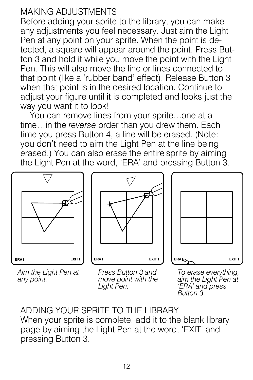## MAKING ADJUSTMENTS

Before adding your sprite to the library, you can make any adjustments you feel necessary. Just aim the Light Pen at any point on your sprite. When the point is detected, a square will appear around the point. Press Button 3 and hold it while you move the point with the Light Pen. This will also move the line or lines connected to that point (like a 'rubber band' effect). Release Button 3 when that point is in the desired location. Continue to adjust your figure until it is completed and looks just the way you want it to look!

You can remove lines from your sprite…one at a time…in the *reverse* order than you drew them. Each time you press Button 4, a line will be erased. (Note: you don't need to aim the Light Pen at the line being erased.) You can also erase the entire sprite by aiming the Light Pen at the word, 'ERA' and pressing Button 3.



*Aim the Light Pen at any point.*







*To erase everything, aim the Light Pen at 'ERA' and press Button 3.*

ADDING YOUR SPRITE TO THE LIBRARY When your sprite is complete, add it to the blank library page by aiming the Light Pen at the word, 'EXIT' and pressing Button 3.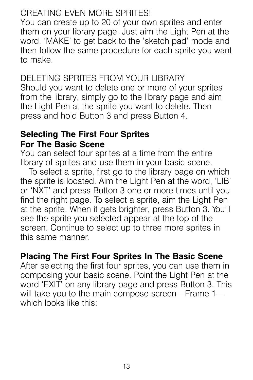## CREATING EVEN MORE SPRITES!

You can create up to 20 of your own sprites and enter them on your library page. Just aim the Light Pen at the word, 'MAKE' to get back to the 'sketch pad' mode and then follow the same procedure for each sprite you want to make.

## DELETING SPRITES FROM YOUR LIBRARY

Should you want to delete one or more of your sprites from the library, simply go to the library page and aim the Light Pen at the sprite you want to delete. Then press and hold Button 3 and press Button 4.

## **Selecting The First Four Sprites For The Basic Scene**

You can select four sprites at a time from the entire library of sprites and use them in your basic scene.

To select a sprite, first go to the library page on which the sprite is located. Aim the Light Pen at the word, 'LIB' or 'NXT' and press Button 3 one or more times until you find the right page. To select a sprite, aim the Light Pen at the sprite. When it gets brighter, press Button 3. You'll see the sprite you selected appear at the top of the screen. Continue to select up to three more sprites in this same manner.

## **Placing The First Four Sprites In The Basic Scene**

After selecting the first four sprites, you can use them in composing your basic scene. Point the Light Pen at the word 'EXIT' on any library page and press Button 3. This will take you to the main compose screen—Frame 1 which looks like this: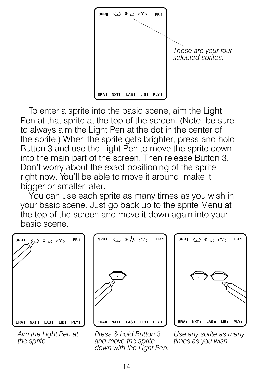

To enter a sprite into the basic scene, aim the Light Pen at that sprite at the top of the screen. (Note: be sure to always aim the Light Pen at the dot in the center of the sprite.) When the sprite gets brighter, press and hold Button 3 and use the Light Pen to move the sprite down into the main part of the screen. Then release Button 3. Don't worry about the exact positioning of the sprite right now. You'll be able to move it around, make it bigger or smaller later.

You can use each sprite as many times as you wish in your basic scene. Just go back up to the sprite Menu at the top of the screen and move it down again into your basic scene.



*Aim the Light Pen at the sprite.*



*Press & hold Button 3 and move the sprite down with the Light Pen.*



*Use any sprite as many times as you wish.*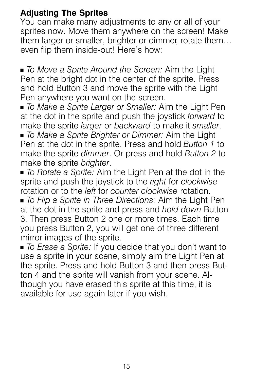## **Adjusting The Sprites**

You can make many adjustments to any or all of your sprites now. Move them anywhere on the screen! Make them larger or smaller, brighter or dimmer, rotate them… even flip them inside-out! Here's how:

+ *To Move a Sprite Around the Screen:* Aim the Light Pen at the bright dot in the center of the sprite. Press and hold Button 3 and move the sprite with the Light Pen anywhere you want on the screen.

+ *To Make a Sprite Larger or Smaller:* Aim the Light Pen at the dot in the sprite and push the joystick *forward* to make the sprite *larger* or *backward* to make it *smaller*.

+ *To Make a Sprite Brighter or Dimmer:* Aim the Light Pen at the dot in the sprite. Press and hold *Button 1* to make the sprite *dimmer*. Or press and hold *Button 2* to make the sprite *brighter*.

+ *To Rotate a Sprite:* Aim the Light Pen at the dot in the sprite and push the joystick to the *right* for *clockwise* rotation or to the *left* for *counter clockwise* rotation.

+ *To Flip a Sprite in Three Directions:* Aim the Light Pen at the dot in the sprite and press and *hold down* Button 3. Then press Button 2 one or more times. Each time you press Button 2, you will get one of three different mirror images of the sprite.

+ *To Erase a Sprite:* If you decide that you don't want to use a sprite in your scene, simply aim the Light Pen at the sprite. Press and hold Button 3 and then press Button 4 and the sprite will vanish from your scene. Although you have erased this sprite at this time, it is available for use again later if you wish.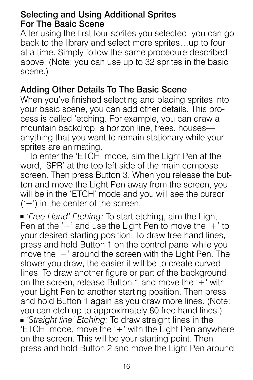## Selecting and Using Additional Sprites For The Basic Scene

After using the first four sprites you selected, you can go back to the library and select more sprites…up to four at a time. Simply follow the same procedure described above. (Note: you can use up to 32 sprites in the basic scene.)

## Adding Other Details To The Basic Scene

When you've finished selecting and placing sprites into your basic scene, you can add other details. This process is called 'etching. For example, you can draw a mountain backdrop, a horizon line, trees, houses anything that you want to remain stationary while your sprites are animating.

To enter the 'ETCH' mode, aim the Light Pen at the word, 'SPR' at the top left side of the main compose screen. Then press Button 3. When you release the button and move the Light Pen away from the screen, you will be in the 'ETCH' mode and you will see the cursor  $('+')$  in the center of the screen.

<sup>+</sup> *'Free Hand' Etching:* To start etching, aim the Light Pen at the  $'$ +' and use the Light Pen to move the  $'$ +' to your desired starting position. To draw free hand lines, press and hold Button 1 on the control panel while you move the '+' around the screen with the Light Pen. The slower you draw, the easier it will be to create curved lines. To draw another figure or part of the background on the screen, release Button 1 and move the  $+$  with your Light Pen to another starting position. Then press and hold Button 1 again as you draw more lines. (Note: you can etch up to approximately 80 free hand lines.) **Example is** *Straight line' Etching:* To draw straight lines in the 'ETCH' mode, move the '+' with the Light Pen anywhere on the screen. This will be your starting point. Then press and hold Button 2 and move the Light Pen around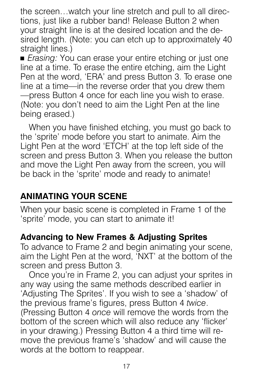the screen…watch your line stretch and pull to all directions, just like a rubber band! Release Button 2 when your straight line is at the desired location and the desired length. (Note: you can etch up to approximately 40 straight lines.)

■ *Erasing:* You can erase your entire etching or just one line at a time. To erase the entire etching, aim the Light Pen at the word, 'ERA' and press Button 3. To erase one line at a time—in the reverse order that you drew them —press Button 4 once for each line you wish to erase. (Note: you don't need to aim the Light Pen at the line being erased.)

When you have finished etching, you must go back to the 'sprite' mode before you start to animate. Aim the Light Pen at the word 'ETCH' at the top left side of the screen and press Button 3. When you release the button and move the Light Pen away from the screen, you will be back in the 'sprite' mode and ready to animate!

## **ANIMATING YOUR SCENE**

When your basic scene is completed in Frame 1 of the 'sprite' mode, you can start to animate it!

## **Advancing to New Frames & Adjusting Sprites**

To advance to Frame 2 and begin animating your scene, aim the Light Pen at the word, 'NXT' at the bottom of the screen and press Button 3.

Once you're in Frame 2, you can adjust your sprites in any way using the same methods described earlier in 'Adjusting The Sprites'. If you wish to see a 'shadow' of the previous frame's figures, press Button 4 *twice*. (Pressing Button 4 *once* will remove the words from the bottom of the screen which will also reduce any 'flicker' in your drawing.) Pressing Button 4 a third time will remove the previous frame's 'shadow' and will cause the words at the bottom to reappear.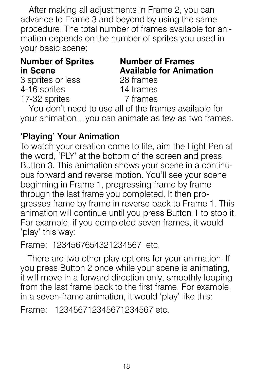After making all adjustments in Frame 2, you can advance to Frame 3 and beyond by using the same procedure. The total number of frames available for animation depends on the number of sprites you used in your basic scene:

#### **Number of Sprites in Scene**

**Number of Frames Available for Animation** 28 frames 14 frames 7 frames

3 sprites or less 4-16 sprites 17-32 sprites

You don't need to use all of the frames available for your animation…you can animate as few as two frames.

## 'Playing' Your Animation

To watch your creation come to life, aim the Light Pen at the word, 'PLY' at the bottom of the screen and press Button 3. This animation shows your scene in a continuous forward and reverse motion. You'll see your scene beginning in Frame 1, progressing frame by frame through the last frame you completed. It then progresses frame by frame in reverse back to Frame 1. This animation will continue until you press Button 1 to stop it. For example, if you completed seven frames, it would 'play' this way:

```
Frame: 1234567654321234567 etc.
```
There are two other play options for your animation. If you press Button 2 once while your scene is animating, it will move in a forward direction only, smoothly looping from the last frame back to the first frame. For example, in a seven-frame animation, it would 'play' like this:

Frame: 123456712345671234567 etc.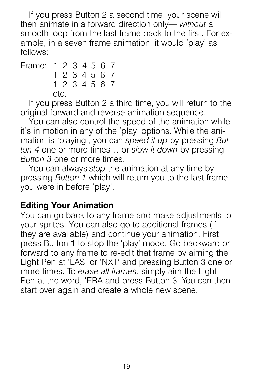If you press Button 2 a second time, your scene will then animate in a forward direction only— *without* a smooth loop from the last frame back to the first. For example, in a seven frame animation, it would 'play' as follows:

Frame: 1 2 3 4 5 6 7 1 2 3 4 5 6 7 1 2 3 4 5 6 7  $\mathsf{a}$ 

If you press Button 2 a third time, you will return to the original forward and reverse animation sequence.

You can also control the speed of the animation while it's in motion in any of the 'play' options. While the animation is 'playing', you can *speed it up* by pressing *Button 4* one or more times… or *slow it down* by pressing *Button 3* one or more times.

You can always *stop* the animation at any time by pressing *Button 1* which will return you to the last frame you were in before 'play'.

## **Editing Your Animation**

You can go back to any frame and make adjustments to your sprites. You can also go to additional frames (if they are available) and continue your animation. First press Button 1 to stop the 'play' mode. Go backward or forward to any frame to re-edit that frame by aiming the Light Pen at 'LAS' or 'NXT' and pressing Button 3 one or more times. To *erase all frames*, simply aim the Light Pen at the word, 'ERA and press Button 3. You can then start over again and create a whole new scene.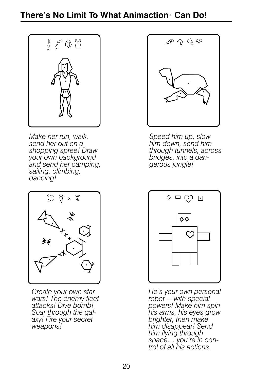

*Make her run, walk, send her out on a shopping spree! Draw your own background and send her camping, sailing, climbing, dancing!*



*Create your own star wars! The enemy fleet attacks! Dive bomb! Soar through the galaxy! Fire your secret weapons!*



*Speed him up, slow him down, send him through tunnels, across bridges, into a dangerous jungle!*



*He's your own personal robot —with special powers! Make him spin his arms, his eyes grow brighter, then make him disappear! Send him flying through space… you're in control of all his actions.*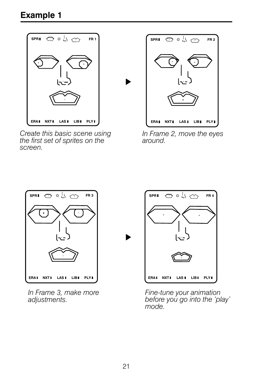

*Create this basic scene using the first set of sprites on the screen.*



*In Frame 2, move the eyes around.*



*In Frame 3, make more adjustments.*



*Fine-tune your animation before you go into the 'play' mode.*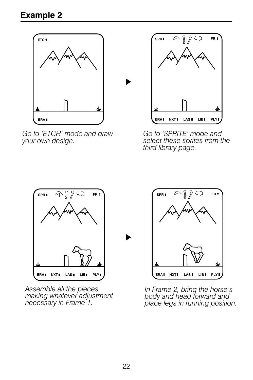

*Go to 'ETCH' mode and draw your own design.*



*Go to 'SPRITE' mode and select these sprites from the third library page.*



*Assemble all the pieces, making whatever adjustment necessary in Frame 1.*



*In Frame 2, bring the horse's body and head forward and place legs in running position.*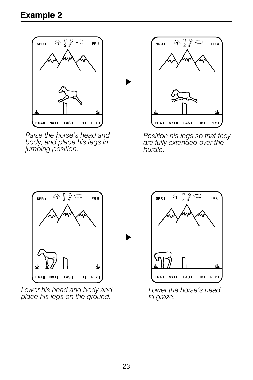

*Raise the horse's head and body, and place his legs in jumping position.*



*Position his legs so that they are fully extended over the hurdle.*



*Lower his head and body and place his legs on the ground.*



*Lower the horse's head to graze.*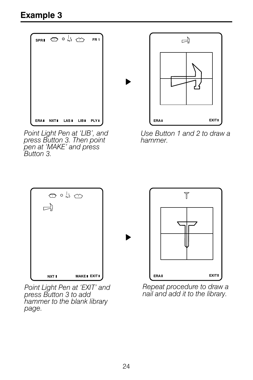

*Point Light Pen at 'LIB', and press Button 3. Then point pen at 'MAKE' and press Button 3.*



*Use Button 1 and 2 to draw a hammer.*



*Point Light Pen at 'EXIT' and press Button 3 to add hammer to the blank library page.*



*Repeat procedure to draw a nail and add it to the library.*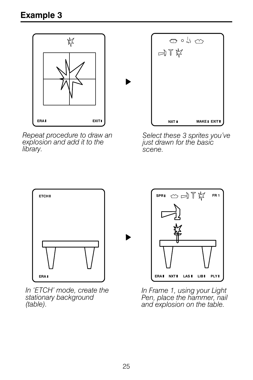

*Repeat procedure to draw an explosion and add it to the library.*



*Select these 3 sprites you've just drawn for the basic scene.*



*In 'ETCH' mode, create the stationary background (table).*



*In Frame 1, using your Light Pen, place the hammer, nail and explosion on the table.*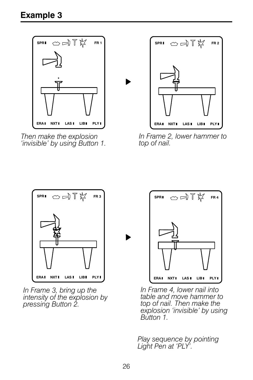

*Then make the explosion 'invisible' by using Button 1.*



*In Frame 2, lower hammer to top of nail.*



*In Frame 3, bring up the intensity of the explosion by pressing Button 2.*



*In Frame 4, lower nail into table and move hammer to top of nail. Then make the explosion 'invisible' by using Button 1.*

*Play sequence by pointing Light Pen at 'PLY'.*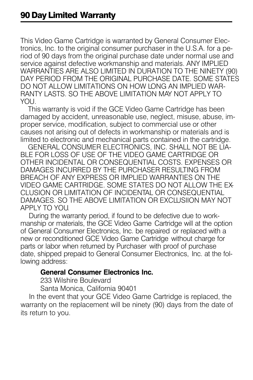This Video Game Cartridge is warranted by General Consumer Electronics, Inc. to the original consumer purchaser in the U.S.A. for a period of 90 days from the original purchase date under normal use and service against defective workmanship and materials. ANY IMPLIED WARRANTIES ARE ALSO LIMITED IN DURATION TO THE NINETY (90) DAY PERIOD FROM THE ORIGINAL PURCHASE DATE. SOME STATES DO NOT ALLOW LIMITATIONS ON HOW LONG AN IMPLIED WAR-RANTY LASTS. SO THE ABOVE LIMITATION MAY NOT APPLY TO YOU.

 This warranty is void if the GCE Video Game Cartridge has been damaged by accident, unreasonable use, neglect, misuse, abuse, improper service, modification, subject to commercial use or other causes not arising out of defects in workmanship or materials and is limited to electronic and mechanical parts contained in the cartridge.

 GENERAL CONSUMER ELECTRONICS, INC. SHALL NOT BE LIA-BLE FOR LOSS OF USE OF THE VIDEO GAME CARTRIDGE OR OTHER INCIDENTAL OR CONSEQUENTIAL COSTS. EXPENSES OR DAMAGES INCURRED BY THE PURCHASER RESULTING FROM BREACH OF ANY EXPRESS OR IMPLIED WARRANTIES ON THE VIDEO GAME CARTRIDGE. SOME STATES DO NOT ALLOW THE EX-CLUSION OR LIMITATION OF INCIDENTAL OR CONSEQUENTIAL DAMAGES. SO THE ABOVE LIMITATION OR EXCLUSIION MAY NOT APPLY TO YOU.

 During the warranty period, if found to be defective due to workmanship or materials, the GCE Video Game Cartridge will at the option of General Consumer Electronics, Inc. be repaired or replaced with a new or reconditioned GCE Video Game Cartridge without charge for parts or labor when returned by Purchaser with proof of purchase date, shipped prepaid to General Consumer Electronics, Inc. at the following address:

#### **General Consumer Electronics Inc.**

233 Wilshire Boulevard

Santa Monica, California 90401

 In the event that your GCE Video Game Cartridge is replaced, the warranty on the replacement will be ninety (90) days from the date of its return to you.